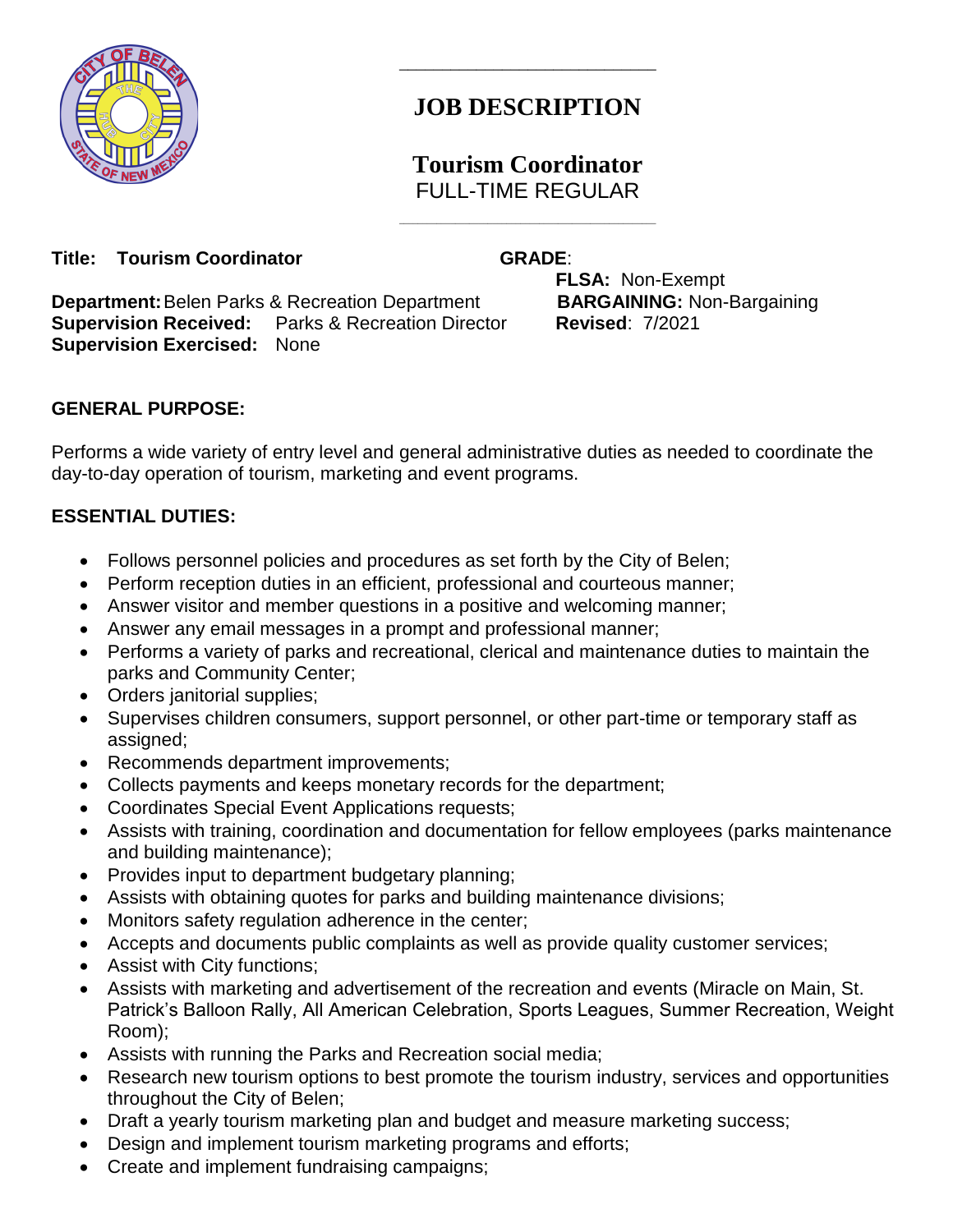

# **JOB DESCRIPTION**

\_\_\_\_\_\_\_\_\_\_\_\_\_\_\_\_\_\_\_\_\_\_\_\_\_\_\_\_\_\_

## **Tourism Coordinator** FULL-TIME REGULAR

 $\mathcal{L}_\text{max}$  and  $\mathcal{L}_\text{max}$  and  $\mathcal{L}_\text{max}$  and  $\mathcal{L}_\text{max}$  and  $\mathcal{L}_\text{max}$ 

#### **Title: Tourism Coordinator GRADE:**

**Department:**Belen Parks & Recreation Department **BARGAINING:** Non-Bargaining **Supervision Received:** Parks & Recreation Director **Revised**: 7/2021 **Supervision Exercised:** None

**FLSA:** Non-Exempt

## **GENERAL PURPOSE:**

Performs a wide variety of entry level and general administrative duties as needed to coordinate the day-to-day operation of tourism, marketing and event programs.

## **ESSENTIAL DUTIES:**

- Follows personnel policies and procedures as set forth by the City of Belen;
- Perform reception duties in an efficient, professional and courteous manner;
- Answer visitor and member questions in a positive and welcoming manner;
- Answer any email messages in a prompt and professional manner;
- Performs a variety of parks and recreational, clerical and maintenance duties to maintain the parks and Community Center;
- Orders janitorial supplies;
- Supervises children consumers, support personnel, or other part-time or temporary staff as assigned;
- Recommends department improvements;
- Collects payments and keeps monetary records for the department;
- Coordinates Special Event Applications requests;
- Assists with training, coordination and documentation for fellow employees (parks maintenance and building maintenance);
- Provides input to department budgetary planning;
- Assists with obtaining quotes for parks and building maintenance divisions;
- Monitors safety regulation adherence in the center;
- Accepts and documents public complaints as well as provide quality customer services;
- Assist with City functions;
- Assists with marketing and advertisement of the recreation and events (Miracle on Main, St. Patrick's Balloon Rally, All American Celebration, Sports Leagues, Summer Recreation, Weight Room);
- Assists with running the Parks and Recreation social media;
- Research new tourism options to best promote the tourism industry, services and opportunities throughout the City of Belen;
- Draft a yearly tourism marketing plan and budget and measure marketing success;
- Design and implement tourism marketing programs and efforts;
- Create and implement fundraising campaigns;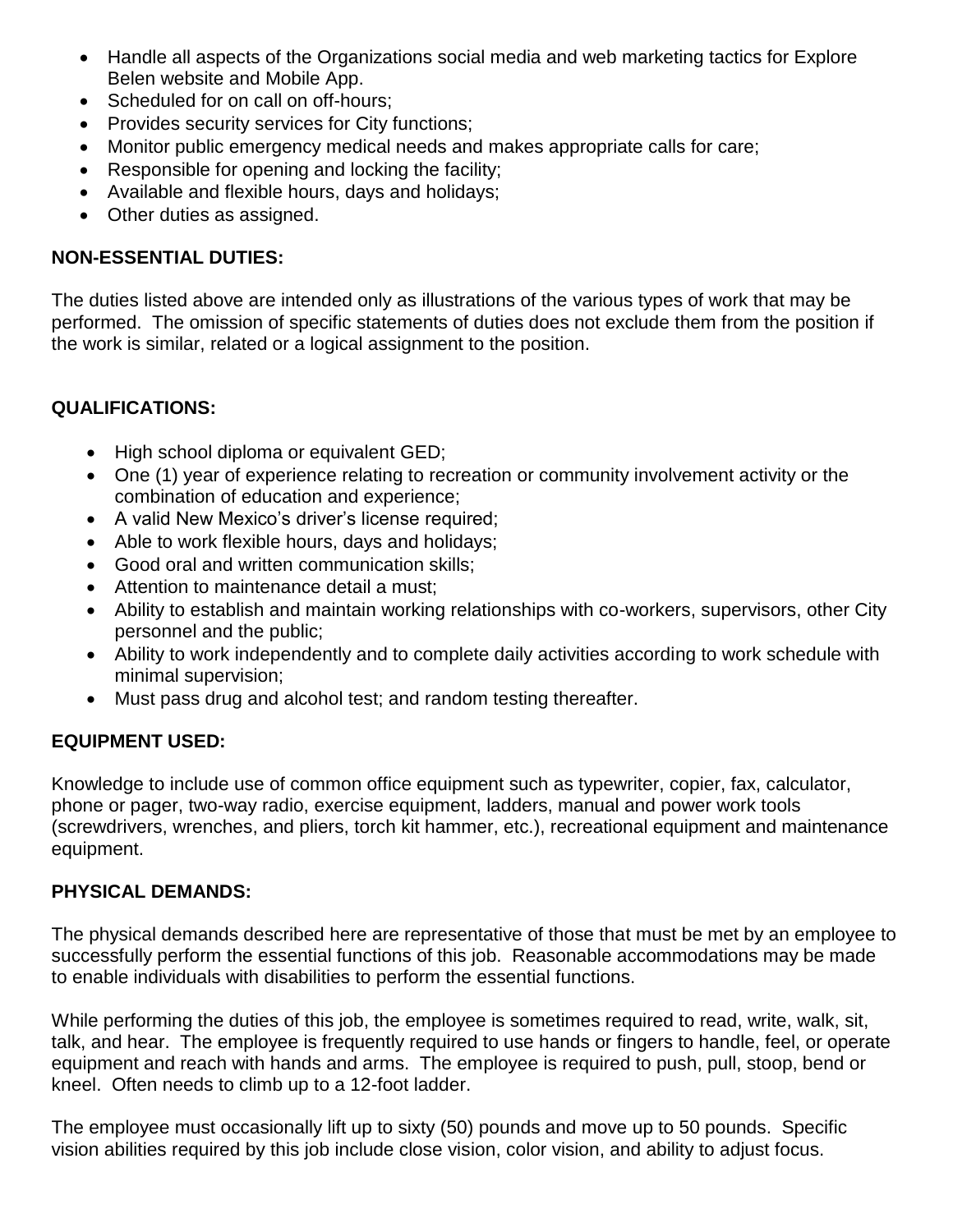- Handle all aspects of the Organizations social media and web marketing tactics for Explore Belen website and Mobile App.
- Scheduled for on call on off-hours;
- Provides security services for City functions;
- Monitor public emergency medical needs and makes appropriate calls for care;
- Responsible for opening and locking the facility;
- Available and flexible hours, days and holidays;
- Other duties as assigned.

## **NON-ESSENTIAL DUTIES:**

The duties listed above are intended only as illustrations of the various types of work that may be performed. The omission of specific statements of duties does not exclude them from the position if the work is similar, related or a logical assignment to the position.

#### **QUALIFICATIONS:**

- High school diploma or equivalent GED;
- One (1) year of experience relating to recreation or community involvement activity or the combination of education and experience;
- A valid New Mexico's driver's license required;
- Able to work flexible hours, days and holidays;
- Good oral and written communication skills;
- Attention to maintenance detail a must:
- Ability to establish and maintain working relationships with co-workers, supervisors, other City personnel and the public;
- Ability to work independently and to complete daily activities according to work schedule with minimal supervision;
- Must pass drug and alcohol test; and random testing thereafter.

## **EQUIPMENT USED:**

Knowledge to include use of common office equipment such as typewriter, copier, fax, calculator, phone or pager, two-way radio, exercise equipment, ladders, manual and power work tools (screwdrivers, wrenches, and pliers, torch kit hammer, etc.), recreational equipment and maintenance equipment.

#### **PHYSICAL DEMANDS:**

The physical demands described here are representative of those that must be met by an employee to successfully perform the essential functions of this job. Reasonable accommodations may be made to enable individuals with disabilities to perform the essential functions.

While performing the duties of this job, the employee is sometimes required to read, write, walk, sit, talk, and hear. The employee is frequently required to use hands or fingers to handle, feel, or operate equipment and reach with hands and arms. The employee is required to push, pull, stoop, bend or kneel. Often needs to climb up to a 12-foot ladder.

The employee must occasionally lift up to sixty (50) pounds and move up to 50 pounds. Specific vision abilities required by this job include close vision, color vision, and ability to adjust focus.